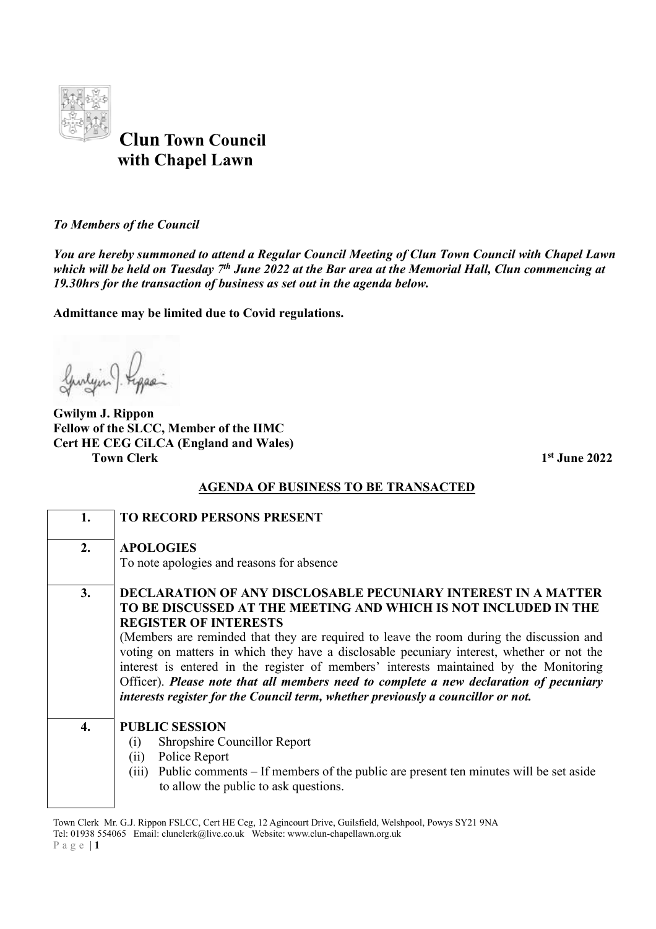

 **Clun Town Council with Chapel Lawn** 

*To Members of the Council* 

*You are hereby summoned to attend a Regular Council Meeting of Clun Town Council with Chapel Lawn which will be held on Tuesday 7th June 2022 at the Bar area at the Memorial Hall, Clun commencing at 19.30hrs for the transaction of business as set out in the agenda below.* 

**Admittance may be limited due to Covid regulations.**

Gunlyn Figger

**Gwilym J. Rippon Fellow of the SLCC, Member of the IIMC Cert HE CEG CiLCA (England and Wales) Town Clerk** 1<sup>st</sup> June 2022

## **AGENDA OF BUSINESS TO BE TRANSACTED**

| 1.               | TO RECORD PERSONS PRESENT                                                                                                                                                                                                                                                                                                                                                                                                                                                                                                                                                                                                                |
|------------------|------------------------------------------------------------------------------------------------------------------------------------------------------------------------------------------------------------------------------------------------------------------------------------------------------------------------------------------------------------------------------------------------------------------------------------------------------------------------------------------------------------------------------------------------------------------------------------------------------------------------------------------|
| 2.               | <b>APOLOGIES</b><br>To note apologies and reasons for absence                                                                                                                                                                                                                                                                                                                                                                                                                                                                                                                                                                            |
| 3.               | <b>DECLARATION OF ANY DISCLOSABLE PECUNIARY INTEREST IN A MATTER</b><br>TO BE DISCUSSED AT THE MEETING AND WHICH IS NOT INCLUDED IN THE<br><b>REGISTER OF INTERESTS</b><br>(Members are reminded that they are required to leave the room during the discussion and<br>voting on matters in which they have a disclosable pecuniary interest, whether or not the<br>interest is entered in the register of members' interests maintained by the Monitoring<br>Officer). Please note that all members need to complete a new declaration of pecuniary<br>interests register for the Council term, whether previously a councillor or not. |
| $\overline{4}$ . | <b>PUBLIC SESSION</b><br>Shropshire Councillor Report<br>(i)<br>Police Report<br>(ii)<br>Public comments – If members of the public are present ten minutes will be set aside<br>(iii)<br>to allow the public to ask questions.                                                                                                                                                                                                                                                                                                                                                                                                          |

Town Clerk Mr. G.J. Rippon FSLCC, Cert HE Ceg, 12 Agincourt Drive, Guilsfield, Welshpool, Powys SY21 9NA Tel: 01938 554065 Email: clunclerk@live.co.uk Website: www.clun-chapellawn.org.uk P a g e | **1**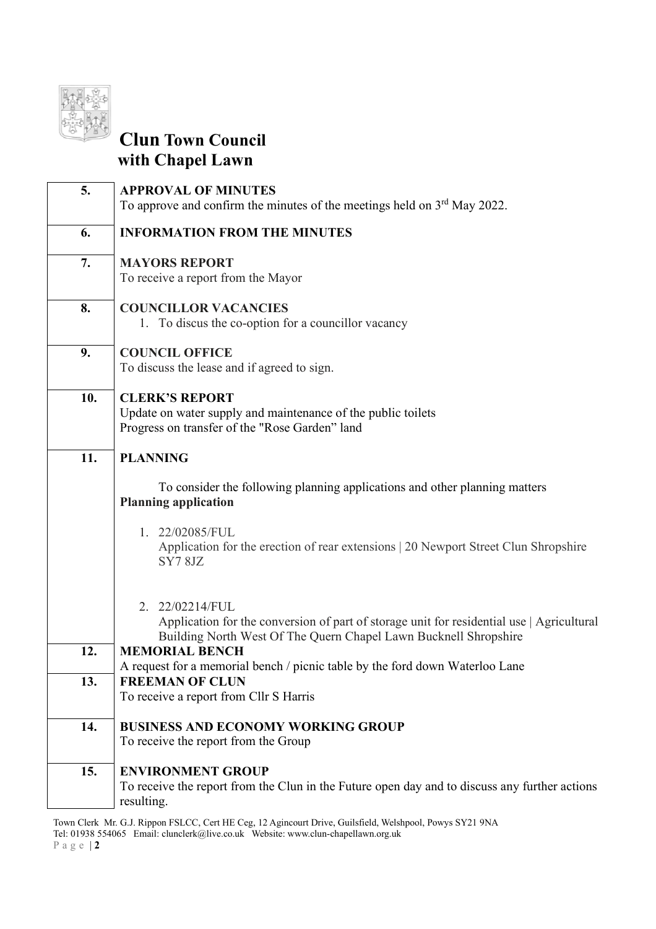

## **Clun Town Council with Chapel Lawn**

| 5.  | <b>APPROVAL OF MINUTES</b><br>To approve and confirm the minutes of the meetings held on $3rd$ May 2022.                                                                         |
|-----|----------------------------------------------------------------------------------------------------------------------------------------------------------------------------------|
| 6.  | <b>INFORMATION FROM THE MINUTES</b>                                                                                                                                              |
| 7.  | <b>MAYORS REPORT</b><br>To receive a report from the Mayor                                                                                                                       |
| 8.  | <b>COUNCILLOR VACANCIES</b><br>1. To discus the co-option for a councillor vacancy                                                                                               |
| 9.  | <b>COUNCIL OFFICE</b><br>To discuss the lease and if agreed to sign.                                                                                                             |
| 10. | <b>CLERK'S REPORT</b><br>Update on water supply and maintenance of the public toilets<br>Progress on transfer of the "Rose Garden" land                                          |
| 11. | <b>PLANNING</b>                                                                                                                                                                  |
|     | To consider the following planning applications and other planning matters<br><b>Planning application</b>                                                                        |
|     | 1. 22/02085/FUL<br>Application for the erection of rear extensions   20 Newport Street Clun Shropshire<br>SY78JZ                                                                 |
|     | 2. 22/02214/FUL<br>Application for the conversion of part of storage unit for residential use   Agricultural<br>Building North West Of The Quern Chapel Lawn Bucknell Shropshire |
| 12. | <b>MEMORIAL BENCH</b>                                                                                                                                                            |
| 13. | A request for a memorial bench / picnic table by the ford down Waterloo Lane<br><b>FREEMAN OF CLUN</b>                                                                           |
|     | To receive a report from Cllr S Harris                                                                                                                                           |
| 14. | <b>BUSINESS AND ECONOMY WORKING GROUP</b>                                                                                                                                        |
|     | To receive the report from the Group                                                                                                                                             |
| 15. | <b>ENVIRONMENT GROUP</b><br>To receive the report from the Clun in the Future open day and to discuss any further actions                                                        |
|     | resulting.                                                                                                                                                                       |

Town Clerk Mr. G.J. Rippon FSLCC, Cert HE Ceg, 12 Agincourt Drive, Guilsfield, Welshpool, Powys SY21 9NA Tel: 01938 554065 Email: clunclerk@live.co.uk Website: www.clun-chapellawn.org.uk P a g e | **2**